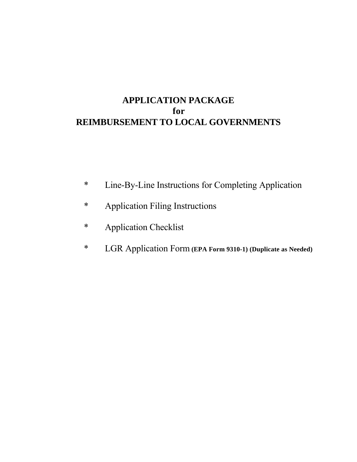## **APPLICATION PACKAGE for REIMBURSEMENT TO LOCAL GOVERNMENTS**

- \* Line-By-Line Instructions for Completing Application
- \* Application Filing Instructions
- \* Application Checklist
- \* LGR Application Form **(EPA Form 9310-1) (Duplicate as Needed)**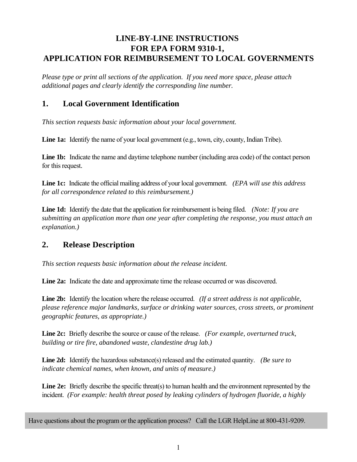### **LINE-BY-LINE INSTRUCTIONS FOR EPA FORM 9310-1, APPLICATION FOR REIMBURSEMENT TO LOCAL GOVERNMENTS**

*Please type or print all sections of the application. If you need more space, please attach additional pages and clearly identify the corresponding line number.* 

### **1. Local Government Identification**

*This section requests basic information about your local government.* 

Line 1a: Identify the name of your local government (e.g., town, city, county, Indian Tribe).

**Line 1b:** Indicate the name and daytime telephone number (including area code) of the contact person for this request*.* 

**Line 1c:** Indicate the official mailing address of your local government. *(EPA will use this address for all correspondence related to this reimbursement.)* 

**Line 1d:** Identify the date that the application for reimbursement is being filed. *(Note: If you are submitting an application more than one year after completing the response, you must attach an explanation.)* 

### **2. Release Description**

*This section requests basic information about the release incident.* 

**Line 2a:** Indicate the date and approximate time the release occurred or was discovered.

**Line 2b:** Identify the location where the release occurred. *(If a street address is not applicable, please reference major landmarks, surface or drinking water sources, cross streets, or prominent geographic features, as appropriate.)* 

**Line 2c:** Briefly describe the source or cause of the release. *(For example, overturned truck, building or tire fire, abandoned waste, clandestine drug lab.)* 

**Line 2d:** Identify the hazardous substance(s) released and the estimated quantity. *(Be sure to indicate chemical names, when known, and units of measure.)* 

**Line 2e:** Briefly describe the specific threat(s) to human health and the environment represented by the incident. *(For example: health threat posed by leaking cylinders of hydrogen fluoride, a highly*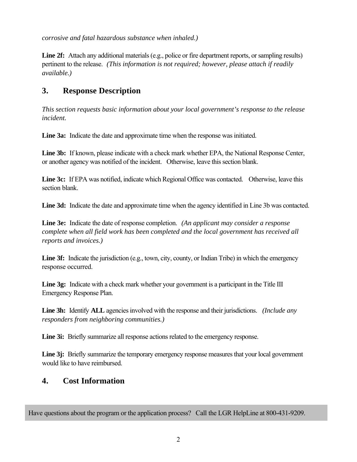*corrosive and fatal hazardous substance when inhaled.)* 

Line 2f: Attach any additional materials (e.g., police or fire department reports, or sampling results) pertinent to the release. *(This information is not required; however, please attach if readily available.)* 

### **3. Response Description**

*This section requests basic information about your local government's response to the release incident.* 

**Line 3a:** Indicate the date and approximate time when the response was initiated.

**Line 3b:** If known, please indicate with a check mark whether EPA, the National Response Center, or another agency was notified of the incident. Otherwise, leave this section blank.

**Line 3c:** If EPA was notified, indicate which Regional Office was contacted. Otherwise, leave this section blank.

Line 3d: Indicate the date and approximate time when the agency identified in Line 3b was contacted.

**Line 3e:** Indicate the date of response completion. *(An applicant may consider a response complete when all field work has been completed and the local government has received all reports and invoices.)* 

**Line 3f:** Indicate the jurisdiction (e.g., town, city, county, or Indian Tribe) in which the emergency response occurred.

Line 3g: Indicate with a check mark whether your government is a participant in the Title III Emergency Response Plan.

**Line 3h:** Identify **ALL** agencies involved with the response and their jurisdictions. *(Include any responders from neighboring communities.)* 

**Line 3i:** Briefly summarize all response actions related to the emergency response.

Line 3*j*: Briefly summarize the temporary emergency response measures that your local government would like to have reimbursed.

### **4. Cost Information**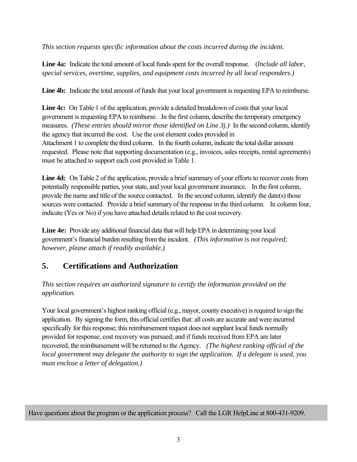*This section requests specific information about the costs incurred during the incident.* 

**Line 4a:** Indicate the total amount of local funds spent for the overall response. (*Include all labor, special services, overtime, supplies, and equipment costs incurred by all local responders.)* 

**Line 4b:** Indicate the total amount of funds that your local government is requesting EPA to reimburse.

**Line 4c:** On Table 1 of the application, provide a detailed breakdown of costs that your local government is requesting EPA to reimburse. In the first column, describe the temporary emergency measures. *(These entries should mirror those identified on Line 3j.)* In the second column, identify the agency that incurred the cost. Use the cost element codes provided in Attachment 1 to complete the third column. In the fourth column, indicate the total dollar amount requested. Please note that supporting documentation (e.g., invoices, sales receipts, rental agreements) must be attached to support each cost provided in Table 1.

**Line 4d:** On Table 2 of the application, provide a brief summary of your efforts to recover costs from potentially responsible parties, your state, and your local government insurance. In the first column, provide the name and title of the source contacted. In the second column, identify the date(s) those sources were contacted. Provide a brief summary of the response in the third column. In column four, indicate (Yes or No) if you have attached details related to the cost recovery.

**Line 4e:** Provide any additional financial data that will help EPA in determining your local government's financial burden resulting from the incident. *(This information is not required; however, please attach if readily available.)*

## **5. Certifications and Authorization**

*This section requires an authorized signature to certify the information provided on the application.* 

Your local government's highest ranking official (e.g., mayor, county executive) is required to sign the application. By signing the form, this official certifies that: all costs are accurate and were incurred specifically for this response; this reimbursement request does not supplant local funds normally provided for response; cost recovery was pursued; and if funds received from EPA are later recovered, the reimbursement will be returned to the Agency. *(The highest ranking official of the local government may delegate the authority to sign the application. If a delegate is used, you must enclose a letter of delegation.)*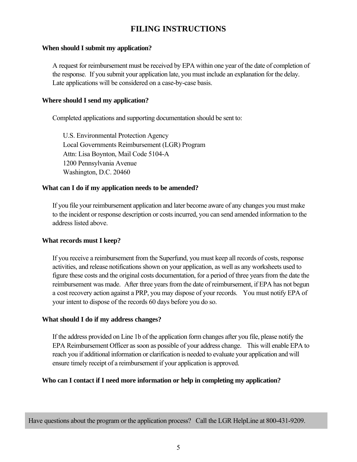### **FILING INSTRUCTIONS**

#### **When should I submit my application?**

A request for reimbursement must be received by EPA within one year of the date of completion of the response. If you submit your application late, you must include an explanation for the delay. Late applications will be considered on a case-by-case basis.

#### **Where should I send my application?**

Completed applications and supporting documentation should be sent to:

U.S. Environmental Protection Agency Local Governments Reimbursement (LGR) Program Attn: Lisa Boynton, Mail Code 5104-A 1200 Pennsylvania Avenue Washington, D.C. 20460

#### **What can I do if my application needs to be amended?**

If you file your reimbursement application and later become aware of any changes you must make to the incident or response description or costs incurred, you can send amended information to the address listed above.

#### **What records must I keep?**

If you receive a reimbursement from the Superfund, you must keep all records of costs, response activities, and release notifications shown on your application, as well as any worksheets used to figure these costs and the original costs documentation, for a period of three years from the date the reimbursement was made. After three years from the date of reimbursement, if EPA has not begun a cost recovery action against a PRP, you may dispose of your records. You must notify EPA of your intent to dispose of the records 60 days before you do so.

#### **What should I do if my address changes?**

If the address provided on Line 1b of the application form changes after you file, please notify the EPA Reimbursement Officer as soon as possible of your address change. This will enable EPA to reach you if additional information or clarification is needed to evaluate your application and will ensure timely receipt of a reimbursement if your application is approved.

#### **Who can I contact if I need more information or help in completing my application?**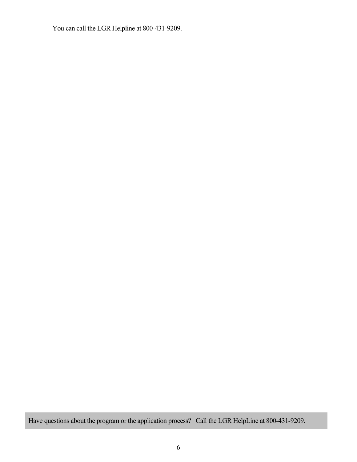You can call the LGR Helpline at 800-431-9209.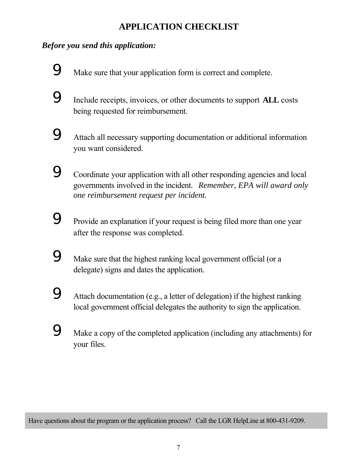# **APPLICATION CHECKLIST**

### *Before you send this application:*

9 Make sure that your application form is correct and complete.

9 Include receipts, invoices, or other documents to support **ALL** costs being requested for reimbursement.



9 Coordinate your application with all other responding agencies and local governments involved in the incident. *Remember, EPA will award only one reimbursement request per incident.* 

**9** Provide an explanation if your request is being filed more than one year after the response was completed.

9 Make sure that the highest ranking local government official (or a delegate) signs and dates the application.

9 Attach documentation (e.g., a letter of delegation) if the highest ranking local government official delegates the authority to sign the application.

9 Make a copy of the completed application (including any attachments) for your files.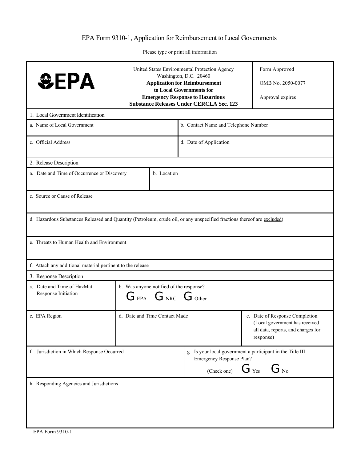### EPA Form 9310-1, Application for Reimbursement to Local Governments

Please type or print all information

| <b>SEPA</b>                                                                                                             | United States Environmental Protection Agency<br>Washington, D.C. 20460<br><b>Application for Reimbursement</b><br>to Local Governments for<br><b>Emergency Response to Hazardous</b><br><b>Substance Releases Under CERCLA Sec. 123</b> |                                                                                                                                       | Form Approved<br>OMB No. 2050-0077<br>Approval expires                                                 |  |  |
|-------------------------------------------------------------------------------------------------------------------------|------------------------------------------------------------------------------------------------------------------------------------------------------------------------------------------------------------------------------------------|---------------------------------------------------------------------------------------------------------------------------------------|--------------------------------------------------------------------------------------------------------|--|--|
| 1. Local Government Identification                                                                                      |                                                                                                                                                                                                                                          |                                                                                                                                       |                                                                                                        |  |  |
| a. Name of Local Government                                                                                             |                                                                                                                                                                                                                                          |                                                                                                                                       | b. Contact Name and Telephone Number                                                                   |  |  |
| c. Official Address                                                                                                     |                                                                                                                                                                                                                                          |                                                                                                                                       | d. Date of Application                                                                                 |  |  |
| 2. Release Description                                                                                                  |                                                                                                                                                                                                                                          |                                                                                                                                       |                                                                                                        |  |  |
|                                                                                                                         | a. Date and Time of Occurrence or Discovery<br>b. Location                                                                                                                                                                               |                                                                                                                                       |                                                                                                        |  |  |
| c. Source or Cause of Release                                                                                           |                                                                                                                                                                                                                                          |                                                                                                                                       |                                                                                                        |  |  |
| d. Hazardous Substances Released and Quantity (Petroleum, crude oil, or any unspecified fractions thereof are excluded) |                                                                                                                                                                                                                                          |                                                                                                                                       |                                                                                                        |  |  |
| e. Threats to Human Health and Environment                                                                              |                                                                                                                                                                                                                                          |                                                                                                                                       |                                                                                                        |  |  |
| f. Attach any additional material pertinent to the release                                                              |                                                                                                                                                                                                                                          |                                                                                                                                       |                                                                                                        |  |  |
| 3. Response Description                                                                                                 |                                                                                                                                                                                                                                          |                                                                                                                                       |                                                                                                        |  |  |
| a. Date and Time of HazMat<br>Response Initiation                                                                       |                                                                                                                                                                                                                                          | b. Was anyone notified of the response?<br>$G_{EPA}$ $G_{NRC}$ $G_{Other}$                                                            |                                                                                                        |  |  |
| c. EPA Region                                                                                                           | d. Date and Time Contact Made<br>response)                                                                                                                                                                                               |                                                                                                                                       | e. Date of Response Completion<br>(Local government has received<br>all data, reports, and charges for |  |  |
| f. Jurisdiction in Which Response Occurred                                                                              |                                                                                                                                                                                                                                          | g. Is your local government a participant in the Title III<br>Emergency Response Plan?<br>$G_{Yes}$<br>$G_{\text{No}}$<br>(Check one) |                                                                                                        |  |  |
| h. Responding Agencies and Jurisdictions                                                                                |                                                                                                                                                                                                                                          |                                                                                                                                       |                                                                                                        |  |  |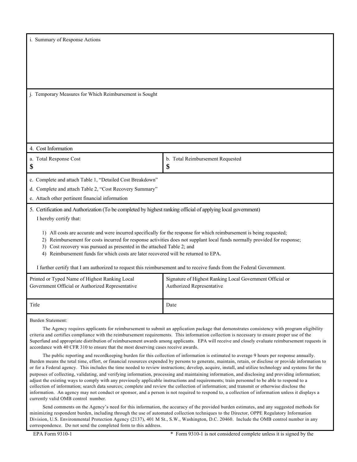|  | i. Summary of Response Actions |  |
|--|--------------------------------|--|
|  |                                |  |

j. Temporary Measures for Which Reimbursement is Sought

#### 4. Cost Information

| b. Total Reimbursement Requested<br>a. Total Response Cost<br>\$<br>Л.<br>۰D |
|------------------------------------------------------------------------------|
|------------------------------------------------------------------------------|

c. Complete and attach Table 1, "Detailed Cost Breakdown"

d. Complete and attach Table 2, "Cost Recovery Summary"

e. Attach other pertinent financial information

### 5. Certification and Authorization (To be completed by highest ranking official of applying local government)

I hereby certify that:

- 1) All costs are accurate and were incurred specifically for the response for which reimbursement is being requested;
- 2) Reimbursement for costs incurred for response activities does not supplant local funds normally provided for response;

3) Cost recovery was pursued as presented in the attached Table 2; and

4) Reimbursement funds for which costs are later recovered will be returned to EPA.

I further certify that I am authorized to request this reimbursement and to receive funds from the Federal Government.

| Printed or Typed Name of Highest Ranking Local   | Signature of Highest Ranking Local Government Official or |
|--------------------------------------------------|-----------------------------------------------------------|
| Government Official or Authorized Representative | Authorized Representative                                 |
| Title                                            | Date                                                      |

Burden Statement:

The Agency requires applicants for reimbursement to submit an application package that demonstrates consistency with program eligibility criteria and certifies compliance with the reimbursement requirements. This information collection is necessary to ensure proper use of the Superfund and appropriate distribution of reimbursement awards among applicants. EPA will receive and closely evaluate reimbursement requests in accordance with 40 CFR 310 to ensure that the most deserving cases receive awards.

The public reporting and recordkeeping burden for this collection of information is estimated to average 9 hours per response annually. Burden means the total time, effort, or financial resources expended by persons to generate, maintain, retain, or disclose or provide information to or for a Federal agency. This includes the time needed to review instructions; develop, acquire, install, and utilize technology and systems for the purposes of collecting, validating, and verifying information, processing and maintaining information, and disclosing and providing information; adjust the existing ways to comply with any previously applicable instructions and requirements; train personnel to be able to respond to a collection of information; search data sources; complete and review the collection of information; and transmit or otherwise disclose the information. An agency may not conduct or sponsor, and a person is not required to respond to, a collection of information unless it displays a currently valid OMB control number.

Send comments on the Agency's need for this information, the accuracy of the provided burden estimates, and any suggested methods for minimizing respondent burden, including through the use of automated collection techniques to the Director, OPPE Regulatory Information Division, U.S. Environmental Protection Agency (2137), 401 M St., S.W., Washington, D.C. 20460. Include the OMB control number in any correspondence. Do not send the completed form to this address.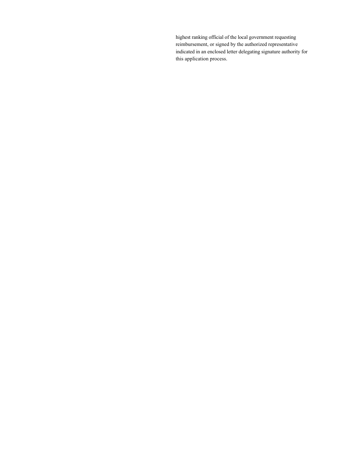highest ranking official of the local government requesting reimbursement, or signed by the authorized representative indicated in an enclosed letter delegating signature authority for this application process.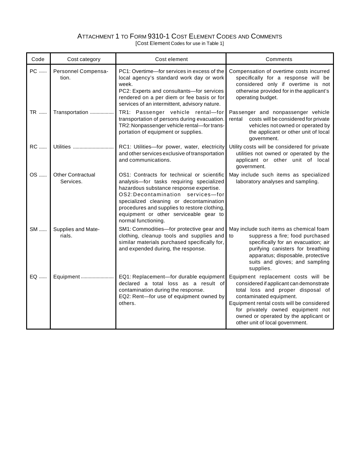### ATTACHMENT 1 TO FORM 9310-1 COST ELEMENT CODES AND COMMENTS

[Cost Element Codes for use in Table 1]

| Code      | Cost category                         | Cost element                                                                                                                                                                                                                                                                                                                      | Comments                                                                                                                                                                                                                                                                                                     |
|-----------|---------------------------------------|-----------------------------------------------------------------------------------------------------------------------------------------------------------------------------------------------------------------------------------------------------------------------------------------------------------------------------------|--------------------------------------------------------------------------------------------------------------------------------------------------------------------------------------------------------------------------------------------------------------------------------------------------------------|
| PC        | Personnel Compensa-<br>tion.          | PC1: Overtime-for services in excess of the<br>local agency's standard work day or work<br>week.<br>PC2: Experts and consultants-for services<br>rendered on a per diem or fee basis or for<br>services of an intermittent, advisory nature.                                                                                      | Compensation of overtime costs incurred<br>specifically for a response will be<br>considered only if overtime is not<br>otherwise provided for in the applicant's<br>operating budget.                                                                                                                       |
| TR        | Transportation                        | TR1: Passenger vehicle rental-for<br>transportation of persons during evacuation.<br>TR2: Nonpassenger vehicle rental-for trans-<br>portation of equipment or supplies.                                                                                                                                                           | Passenger and nonpassenger vehicle<br>costs will be considered for private<br>rental<br>vehicles not owned or operated by<br>the applicant or other unit of local<br>government.                                                                                                                             |
| <b>RC</b> | Utilities                             | RC1: Utilities-for power, water, electricity<br>and other services exclusive of transportation<br>and communications.                                                                                                                                                                                                             | Utility costs will be considered for private<br>utilities not owned or operated by the<br>applicant or other unit of local<br>government.                                                                                                                                                                    |
| OS        | <b>Other Contractual</b><br>Services. | OS1: Contracts for technical or scientific<br>analysis-for tasks requiring specialized<br>hazardous substance response expertise.<br>OS2:Decontamination services-for<br>specialized cleaning or decontamination<br>procedures and supplies to restore clothing,<br>equipment or other serviceable gear to<br>normal functioning. | May include such items as specialized<br>laboratory analyses and sampling.                                                                                                                                                                                                                                   |
| SM        | Supplies and Mate-<br>rials.          | SM1: Commodities-for protective gear and<br>clothing, cleanup tools and supplies and<br>similar materials purchased specifically for,<br>and expended during, the response.                                                                                                                                                       | May include such items as chemical foam<br>suppress a fire; food purchased<br>to<br>specifically for an evacuation; air<br>purifying canisters for breathing<br>apparatus; disposable, protective<br>suits and gloves; and sampling<br>supplies.                                                             |
| EQ        | Equipment                             | EQ1: Replacement-for durable equipment<br>declared a total loss as a result of<br>contamination during the response.<br>EQ2: Rent-for use of equipment owned by<br>others.                                                                                                                                                        | Equipment replacement costs will be<br>considered if applicant can demonstrate<br>total loss and proper disposal of<br>contaminated equipment.<br>Equipment rental costs will be considered<br>for privately owned equipment not<br>owned or operated by the applicant or<br>other unit of local government. |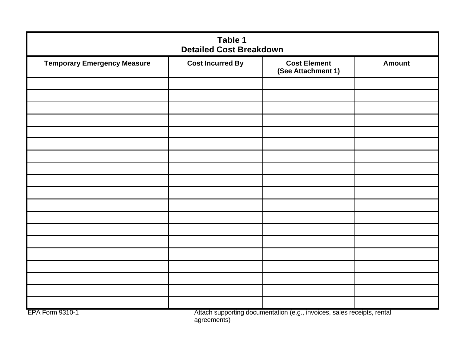| Table 1<br><b>Detailed Cost Breakdown</b> |                         |                                           |               |  |
|-------------------------------------------|-------------------------|-------------------------------------------|---------------|--|
| <b>Temporary Emergency Measure</b>        | <b>Cost Incurred By</b> | <b>Cost Element</b><br>(See Attachment 1) | <b>Amount</b> |  |
|                                           |                         |                                           |               |  |
|                                           |                         |                                           |               |  |
|                                           |                         |                                           |               |  |
|                                           |                         |                                           |               |  |
|                                           |                         |                                           |               |  |
|                                           |                         |                                           |               |  |
|                                           |                         |                                           |               |  |
|                                           |                         |                                           |               |  |
|                                           |                         |                                           |               |  |
|                                           |                         |                                           |               |  |
|                                           |                         |                                           |               |  |
|                                           |                         |                                           |               |  |
|                                           |                         |                                           |               |  |
|                                           |                         |                                           |               |  |
|                                           |                         |                                           |               |  |
|                                           |                         |                                           |               |  |
|                                           |                         |                                           |               |  |
|                                           |                         |                                           |               |  |
|                                           |                         |                                           |               |  |

EPA Form 9310-1 Attach supporting documentation (e.g., invoices, sales receipts, rental agreements)